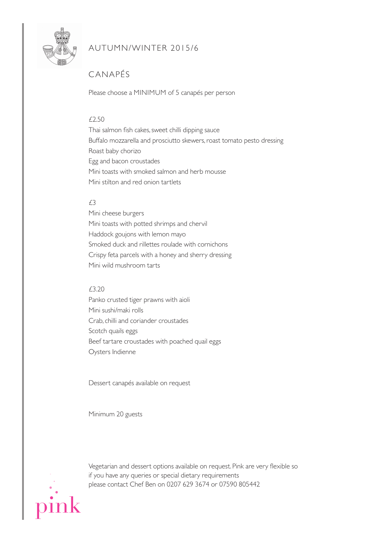

### AUTUMN/WiNTER 2015/6

# CANAPés

Please choose a MiNiMUM of 5 canapés per person

#### £2.50

Thai salmon fish cakes, sweet chilli dipping sauce Buffalo mozzarella and prosciutto skewers, roast tomato pesto dressing Roast baby chorizo Egg and bacon croustades Mini toasts with smoked salmon and herb mousse Mini stilton and red onion tartlets

### $f3$

Mini cheese burgers Mini toasts with potted shrimps and chervil Haddock goujons with lemon mayo smoked duck and rillettes roulade with cornichons Crispy feta parcels with a honey and sherry dressing Mini wild mushroom tarts

#### £3.20

Panko crusted tiger prawns with aioli Mini sushi/maki rolls Crab, chilli and coriander croustades scotch quails eggs Beef tartare croustades with poached quail eggs Oysters indienne

Dessert canapés available on request

Minimum 20 guests



Vegetarian and dessert options available on request. Pink are very flexible so if you have any queries or special dietary requirements please contact Chef Ben on 0207 629 3674 or 07590 805442